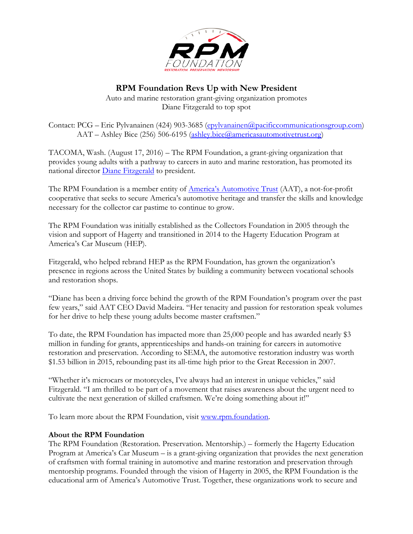

## **RPM Foundation Revs Up with New President**

Auto and marine restoration grant-giving organization promotes Diane Fitzgerald to top spot

Contact: PCG – Eric Pylvanainen (424) 903-3685 [\(epylvanainen@pacificcommunicationsgroup.com\)](mailto:epylvanainen@pacificcommunicationsgroup.com) AAT – Ashley Bice (256) 506-6195 [\(ashley.bice@americasautomotivetrust.org\)](mailto:ashley.bice@americasautomotivetrust.org)

TACOMA, Wash. (August 17, 2016) – The RPM Foundation, a grant-giving organization that provides young adults with a pathway to careers in auto and marine restoration, has promoted its national director [Diane Fitzgerald](http://americasautomotivetrust.org/wp-content/uploads/2016/06/AAT_Biographies-1.pdf#page=5) to president.

The RPM Foundation is a member entity of **America's Automotive Trust** (AAT), a not-for-profit cooperative that seeks to secure America's automotive heritage and transfer the skills and knowledge necessary for the collector car pastime to continue to grow.

The RPM Foundation was initially established as the Collectors Foundation in 2005 through the vision and support of Hagerty and transitioned in 2014 to the Hagerty Education Program at America's Car Museum (HEP).

Fitzgerald, who helped rebrand HEP as the RPM Foundation, has grown the organization's presence in regions across the United States by building a community between vocational schools and restoration shops.

"Diane has been a driving force behind the growth of the RPM Foundation's program over the past few years," said AAT CEO David Madeira. "Her tenacity and passion for restoration speak volumes for her drive to help these young adults become master craftsmen."

To date, the RPM Foundation has impacted more than 25,000 people and has awarded nearly \$3 million in funding for grants, apprenticeships and hands-on training for careers in automotive restoration and preservation. According to SEMA, the automotive restoration industry was worth \$1.53 billion in 2015, rebounding past its all-time high prior to the Great Recession in 2007.

"Whether it's microcars or motorcycles, I've always had an interest in unique vehicles," said Fitzgerald. "I am thrilled to be part of a movement that raises awareness about the urgent need to cultivate the next generation of skilled craftsmen. We're doing something about it!"

To learn more about the RPM Foundation, visit [www.rpm.foundation.](http://www.rpm.foundation/)

## **About the RPM Foundation**

The RPM Foundation (Restoration. Preservation. Mentorship.) – formerly the Hagerty Education Program at America's Car Museum – is a grant-giving organization that provides the next generation of craftsmen with formal training in automotive and marine restoration and preservation through mentorship programs. Founded through the vision of Hagerty in 2005, the RPM Foundation is the educational arm of America's Automotive Trust. Together, these organizations work to secure and